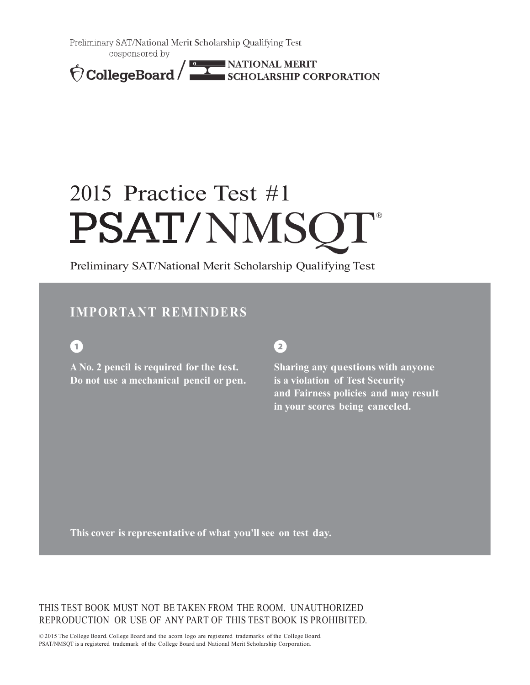Preliminary SAT/National Merit Scholarship Qualifying Test cosponsored by

CollegeBoard ENATIONAL MERIT

# 2015 Practice Test #1 PSAT/NMSQ

Preliminary SAT/National Merit Scholarship Qualifying Test

### **IMPORTANT REMINDERS**

 $\boxed{1}$ 

**A No. 2 pencil is required for the test. Do not use a mechanical pencil or pen.**

### $\mathbf{2}$

**Sharing any questions with anyone is a violation of Test Security and Fairness policies and may result in your scores being canceled.**

**This cover is representative of what you'll see on test day.**

THIS TEST BOOK MUST NOT BE TAKEN FROM THE ROOM. UNAUTHORIZED REPRODUCTION OR USE OF ANY PART OF THIS TEST BOOK IS PROHIBITED.

© 2015 The College Board. College Board and the acorn logo are registered trademarks of the College Board. PSAT/NMSQT is a registered trademark of the College Board and National Merit Scholarship Corporation.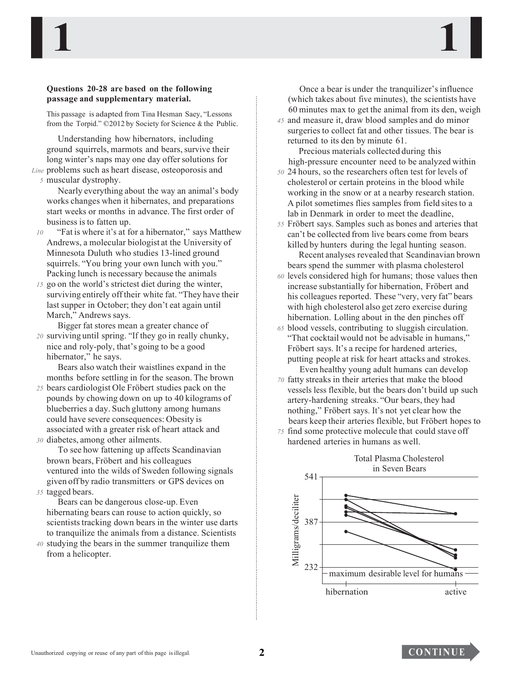#### **Questions 20-28 are based on the following passage and supplementary material.**

This passage is adapted from Tina Hesman Saey, "Lessons from the Torpid." ©2012 by Society for Science & the Public.

Understanding how hibernators, including ground squirrels, marmots and bears, survive their long winter's naps may one day offer solutions for

*Line* problems such as heart disease, osteoporosis and *5* muscular dystrophy.

Nearly everything about the way an animal's body works changes when it hibernates, and preparations start weeks or months in advance. The first order of business is to fatten up.

- *10* "Fat is where it's at for a hibernator," says Matthew Andrews, a molecular biologist at the University of Minnesota Duluth who studies 13-lined ground squirrels. "You bring your own lunch with you." Packing lunch is necessary because the animals
- *15* go on the world's strictest diet during the winter, surviving entirely off their white fat. "They have their last supper in October; they don't eat again until March," Andrews says.

Bigger fat stores mean a greater chance of *20* surviving until spring. "If they go in really chunky,

nice and roly-poly, that's going to be a good hibernator," he says.

Bears also watch their waistlines expand in the months before settling in for the season. The brown

*25* bears cardiologist Ole Fröbert studies pack on the pounds by chowing down on up to 40 kilograms of blueberries a day. Such gluttony among humans could have severe consequences: Obesity is associated with a greater risk of heart attack and *30* diabetes, among other ailments.

To see how fattening up affects Scandinavian brown bears, Fröbert and his colleagues ventured into the wilds of Sweden following signals given off by radio transmitters or GPS devices on

*35* tagged bears.

Bears can be dangerous close-up. Even hibernating bears can rouse to action quickly, so scientists tracking down bears in the winter use darts to tranquilize the animals from a distance. Scientists

*40* studying the bears in the summer tranquilize them from a helicopter.

Once a bear is under the tranquilizer'sinfluence (which takes about five minutes), the scientists have 60 minutes max to get the animal from its den, weigh

*45* and measure it, draw blood samples and do minor surgeries to collect fat and other tissues. The bear is returned to its den by minute 61.

Precious materials collected during this high-pressure encounter need to be analyzed within

- *50* 24 hours, so the researchers often test for levels of cholesterol or certain proteins in the blood while working in the snow or at a nearby research station. A pilot sometimes flies samples from field sitesto a lab in Denmark in order to meet the deadline,
- *55* Fröbert says. Samples such as bones and arteries that can't be collected from live bears come from bears killed by hunters during the legal hunting season. Recent analyses revealed that Scandinavian brown
- bears spend the summer with plasma cholesterol *60* levels considered high for humans; those values then increase substantially for hibernation, Fröbert and his colleagues reported. These "very, very fat" bears with high cholesterol also get zero exercise during hibernation. Lolling about in the den pinches off
- *65* blood vessels, contributing to sluggish circulation. "That cocktail would not be advisable in humans," Fröbert says. It's a recipe for hardened arteries, putting people at risk for heart attacks and strokes. Even healthy young adult humans can develop
- *70* fatty streaks in their arteries that make the blood vessels less flexible, but the bears don't build up such artery-hardening streaks. "Our bears, they had nothing," Fröbert says. It's not yet clear how the bears keep their arteries flexible, but Fröbert hopes to
- *75* find some protective molecule that could stave off hardened arteries in humans as well.



**1 1**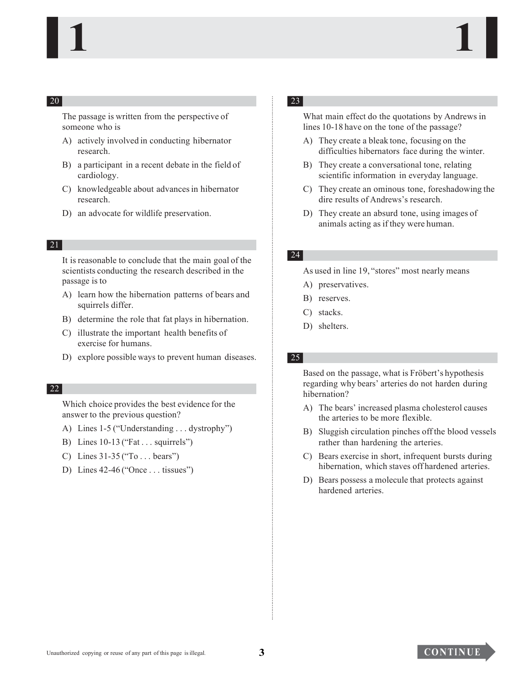The passage is written from the perspective of someone who is

- A) actively involved in conducting hibernator research.
- B) a participant in a recent debate in the field of cardiology.
- C) knowledgeable about advancesin hibernator research.
- D) an advocate for wildlife preservation.

#### 21

**EQUE ACCONSERING THE CONSERVATION CONSERVATION CONSERVATION CONSERVATION CONSERVATION CONSERVATION CONSERVATION CONSERVATION CONSERVATION CONSERVATION CONSERVATION CONSERVATION CONSERVATION CONSERVATION CONSERVATION CONS** It is reasonable to conclude that the main goal of the scientists conducting the research described in the passage is to

- A) learn how the hibernation patterns of bears and squirrels differ.
- B) determine the role that fat plays in hibernation.
- C) illustrate the important health benefits of exercise for humans.
- D) explore possible ways to prevent human diseases.

#### 22

Which choice provides the best evidence for the answer to the previous question?

- A) Lines 1-5 ("Understanding.. . dystrophy")
- B) Lines 10-13 ("Fat.. . squirrels")
- C) Lines 31-35 ("To.. . bears")
- D) Lines 42-46 ("Once.. . tissues")

### 23

What main effect do the quotations by Andrews in lines 10-18 have on the tone of the passage?

- A) They create a bleak tone, focusing on the difficulties hibernators face during the winter.
- B) They create a conversational tone, relating scientific information in everyday language.
- C) They create an ominous tone, foreshadowing the dire results of Andrews's research.
- D) They create an absurd tone, using images of animals acting as if they were human.

#### 24

As used in line 19, "stores" most nearly means

- A) preservatives.
- B) reserves.
- C) stacks.
- D) shelters.

#### 25

Based on the passage, what is Fröbert's hypothesis regarding why bears' arteries do not harden during hibernation?

- A) The bears' increased plasma cholesterol causes the arteries to be more flexible.
- B) Sluggish circulation pinches offthe blood vessels rather than hardening the arteries.
- C) Bears exercise in short, infrequent bursts during hibernation, which staves off hardened arteries.
- D) Bears possess a molecule that protects against hardened arteries.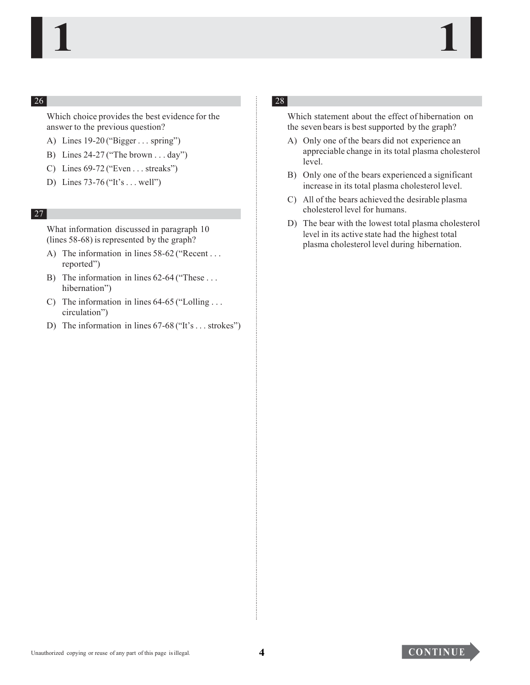Which choice provides the best evidence for the answer to the previous question?

- A) Lines 19-20 ("Bigger... spring")
- B) Lines 24-27 ("The brown.. . day")
- C) Lines 69-72 ("Even.. . streaks")
- D) Lines 73-76 ("It's.. . well")

#### 27

What information discussed in paragraph 10 (lines 58-68) is represented by the graph?

- A) The information in lines 58-62 ("Recent... reported")
- B) The information in lines 62-64 ("These ... hibernation")
- C) The information in lines 64-65 ("Lolling.. . circulation")
- D) The information in lines 67-68 ("It's... strokes")

### 28

Which statement about the effect of hibernation on the seven bears is best supported by the graph?

- A) Only one of the bears did not experience an appreciable change in its total plasma cholesterol level.
- B) Only one of the bears experienced a significant increase in its total plasma cholesterol level.
- C) All of the bears achieved the desirable plasma cholesterol level for humans.
- **ESI**<br>
Mikich shows the provides the best evidence of the **ESI**<br>
Mikich statement about the effect of failuration?<br>
A)  $\lambda$  i.e.  $\lambda$  i.e.  $\lambda$  i.e.  $\lambda$  i.e.  $\lambda$  i.e.  $\lambda$  i.e.  $\lambda$  i.e.  $\lambda$  i.e.  $\lambda$  i.e.  $\lambda$  i.e.  $\$ D) The bear with the lowest total plasma cholesterol level in its active state had the highest total plasma cholesterol level during hibernation.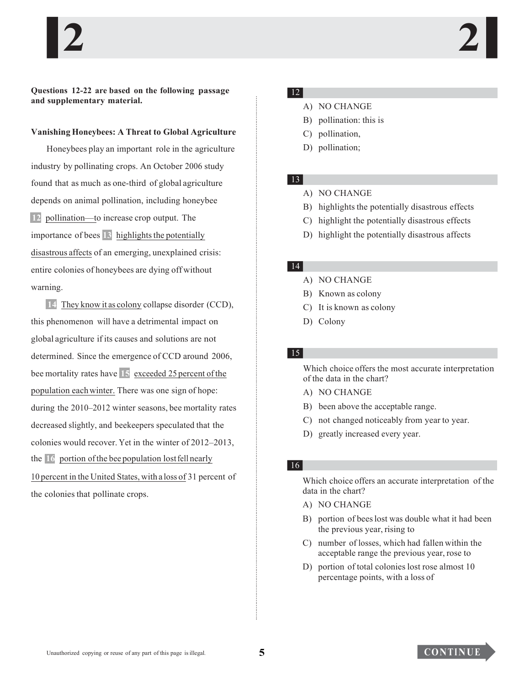**Questions 12-22 are based on the following passage and supplementary material.**

#### **Vanishing Honeybees: A Threat to Global Agriculture**

Honeybees play an important role in the agriculture industry by pollinating crops. An October 2006 study found that as much as one-third of global agriculture depends on animal pollination, including honeybee **12** pollination—to increase crop output. The importance of bees  $13$  highlights the potentially disastrous affects of an emerging, unexplained crisis: entire colonies of honeybees are dying off without warning.

supplementary material.<br>
Shaling Honeybees: A Thereat to Global Agriculture<br>
(1) politimation, the state of Global Agriculture<br>
(1) politimation.<br>
(1) politimation conservation of global galacelears<br>
(2) politimation cons **14** They know it as colony collapse disorder (CCD), this phenomenon will have a detrimental impact on global agriculture if its causes and solutions are not determined. Since the emergence of CCD around 2006, bee mortality rates have **15** exceeded 25 percent ofthe population eachwinter. There was one sign of hope: during the 2010–2012 winter seasons, bee mortality rates decreased slightly, and beekeepers speculated that the colonies would recover. Yet in the winter of 2012–2013, the **16** portion of the bee population lost fell nearly 10 percent in the United States, with a loss of 31 percent of the colonies that pollinate crops.

### 12

- A) NO CHANGE
- B) pollination: this is
- C) pollination,
- D) pollination;

#### 13

- A) NO CHANGE
- B) highlights the potentially disastrous effects
- C) highlight the potentially disastrous effects
- D) highlight the potentially disastrous affects

### 14

- A) NO CHANGE
- B) Known as colony
- C) It is known as colony
- D) Colony

#### 15

Which choice offers the most accurate interpretation of the data in the chart?

- A) NO CHANGE
- B) been above the acceptable range.
- C) not changed noticeably from year to year.
- D) greatly increased every year.

### 16

Which choice offers an accurate interpretation of the data in the chart?

- A) NO CHANGE
- B) portion of beeslost was double what it had been the previous year, rising to
- C) number of losses, which had fallen within the acceptable range the previous year, rose to
- D) portion of total colonies lost rose almost 10 percentage points, with a loss of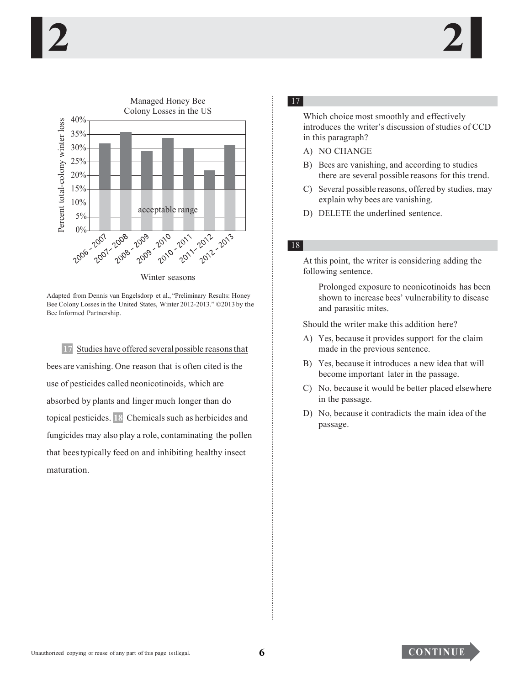

Winter seasons

Adapted from Dennis van Engelsdorp et al., "Preliminary Results: Honey Bee Colony Losses in the United States, Winter 2012-2013." ©2013 by the Bee Informed Partnership.

17 Studies have offered several possible reasons that bees are vanishing. One reason that is often cited is the use of pesticides called neonicotinoids, which are absorbed by plants and linger much longer than do topical pesticides. 18 Chemicals such as herbicides and fungicides may also play a role, contaminating the pollen that bees typically feed on and inhibiting healthy insect maturation.

### $17$

Which choice most smoothly and effectively introduces the writer's discussion of studies of CCD in this paragraph?

- A) NO CHANGE
- B) Bees are vanishing, and according to studies there are several possible reasons for this trend.
- C) Several possible reasons, offered by studies, may explain why bees are vanishing.
- D) DELETE the underlined sentence.

### $|18|$

At this point, the writer is considering adding the following sentence.

Prolonged exposure to neonicotinoids has been shown to increase bees' vulnerability to disease and parasitic mites.

Should the writer make this addition here?

- A) Yes, because it provides support for the claim made in the previous sentence.
- B) Yes, because it introduces a new idea that will become important later in the passage.
- C) No, because it would be better placed elsewhere in the passage.
- D) No, because it contradicts the main idea of the passage.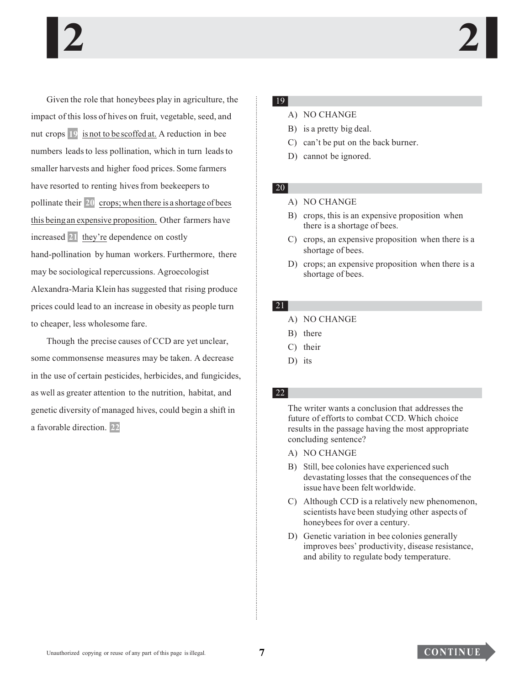Given the ratio that have phosical ratios are composited in the signal of the signal of the signal scheme of the signal scheme of the signal scheme of the signal scheme of the signal scheme of the signal scheme of the sig Given the role that honeybees play in agriculture, the impact of this loss of hives on fruit, vegetable, seed, and nut crops **19** is not to be scoffed at. A reduction in bee numbers leads to less pollination, which in turn leads to smaller harvests and higher food prices. Some farmers have resorted to renting hives from beekeepers to pollinate their **20** crops;when there is a shortage of bees this beingan expensive proposition. Other farmers have increased **21** they're dependence on costly hand-pollination by human workers. Furthermore, there may be sociological repercussions. Agroecologist Alexandra-Maria Klein has suggested that rising produce prices could lead to an increase in obesity as people turn to cheaper, less wholesome fare.

Though the precise causes of CCD are yet unclear, some commonsense measures may be taken. A decrease in the use of certain pesticides, herbicides, and fungicides, as well as greater attention to the nutrition, habitat, and genetic diversity of managed hives, could begin a shift in a favorable direction. **22**

#### 19

- A) NO CHANGE
- B) is a pretty big deal.
- C) can't be put on the back burner.
- D) cannot be ignored.

### 20

#### A) NO CHANGE

- B) crops, this is an expensive proposition when there is a shortage of bees.
- C) crops, an expensive proposition when there is a shortage of bees.
- D) crops; an expensive proposition when there is a shortage of bees.

#### 21

- A) NO CHANGE
- B) there
- C) their
- D) its

### 22

The writer wants a conclusion that addresses the future of efforts to combat CCD. Which choice results in the passage having the most appropriate concluding sentence?

- A) NO CHANGE
- B) Still, bee colonies have experienced such devastating losses that the consequences of the issue have been felt worldwide.
- C) Although CCD is a relatively new phenomenon, scientists have been studying other aspects of honeybees for over a century.
- D) Genetic variation in bee colonies generally improves bees' productivity, disease resistance, and ability to regulate body temperature.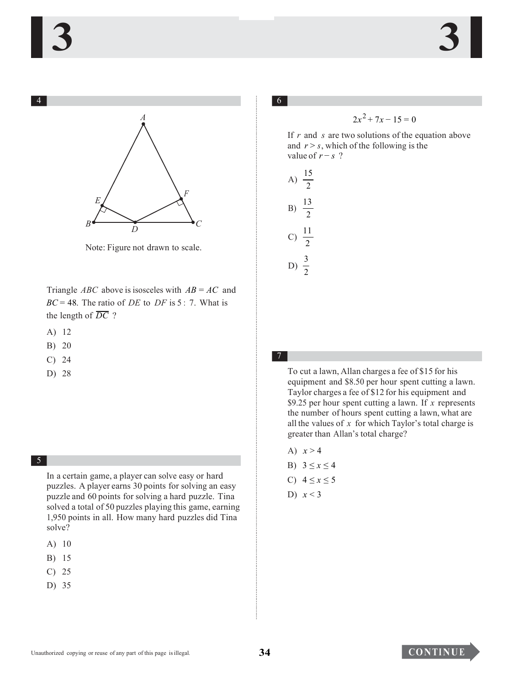

Note: Figure not drawn to scale.

Triangle *ABC* above is isosceles with *AB* = *AC* and  $BC = 48$ . The ratio of *DE* to *DF* is 5 : 7. What is the length of  $\overline{DC}$  ?

- A) 12
- B) 20
- C) 24 7
- 

5

In a certain game, a player can solve easy or hard puzzles. A player earns 30 points for solving an easy puzzle and 60 points for solving a hard puzzle. Tina solved a total of 50 puzzles playing this game, earning 1,950 points in all. How many hard puzzles did Tina solve?

- A) 10
- B) 15
- C) 25
- D) 35

If *r* and *s* are two solutions of the equation above and  $r > s$ , which of the following is the value of  $r - s$  ?



D) 28 To cut a lawn, Allan charges a fee of \$15 for his equipment and \$8.50 per hour spent cutting a lawn. Taylor charges a fee of \$12 for his equipment and \$9.25 per hour spent cutting a lawn. If *x* represents the number of hours spent cutting a lawn, what are all the values of *x* for which Taylor's total charge is greater than Allan's total charge?

- A)  $x > 4$ B)  $3 \le x \le 4$
- C)  $4 ≤ x ≤ 5$
- D) *x* < 3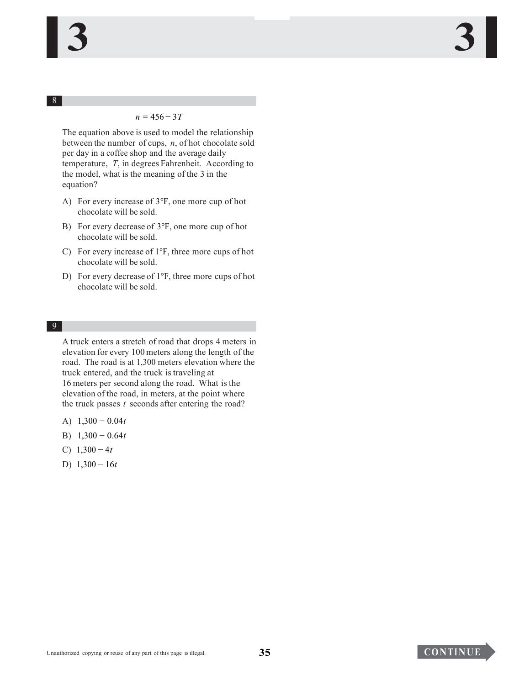#### *n* = 456 − 3*T*

The equation above is used to model the relationship between the number of cups, *n*, of hot chocolate sold per day in a coffee shop and the average daily temperature, *T*, in degrees Fahrenheit. According to the model, what is the meaning of the 3 in the equation?

- A) For every increase of 3°F, one more cup of hot chocolate will be sold.
- B) For every decrease of 3°F, one more cup of hot chocolate will be sold.
- C) For every increase of 1°F, three more cups of hot chocolate will be sold.
- D) For every decrease of 1°F, three more cups of hot chocolate will be sold.

#### 9

A truck enters a stretch of road that drops 4 meters in elevation for every 100 meters along the length of the road. The road is at 1,300 meters elevation where the truck entered, and the truck is traveling at 16 meters per second along the road. What is the elevation of the road, in meters, at the point where the truck passes *t* seconds after entering the road?

- A) 1,300 − 0.04*t*
- B) 1,300 − 0.64*t*
- C) 1,300 − 4*t*
- D) 1,300 − 16*t*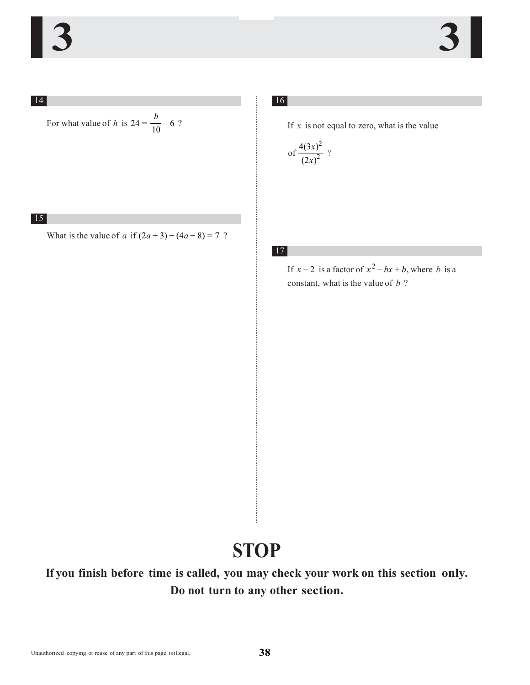For what value of *h* is  $24 = \frac{h}{10} - 6$  ?

15

What is the value of *a* if  $(2a+3) - (4a-8) = 7$ ?

16

If  $x$  is not equal to zero, what is the value

of 
$$
\frac{4(3x)^2}{(2x)^2}
$$
?

17

If  $x - 2$  is a factor of  $x^2 - bx + b$ , where *b* is a constant, what is the value of *b* ?

## **STOP**

For what value of h is  $24 = \frac{h}{10} - 6$  ?<br>
What is the value of a if  $(2a+3) - (4a-8) = 7$  ?<br>
What is the value of a if  $(2a+3) - (4a-8) = 7$  ?<br>
If you finish before time is called, you may<br>
Do not turn to any<br>
Do not turn to a **If you finish before time is called, you may check your work on this section only. Do not turn to any other section.**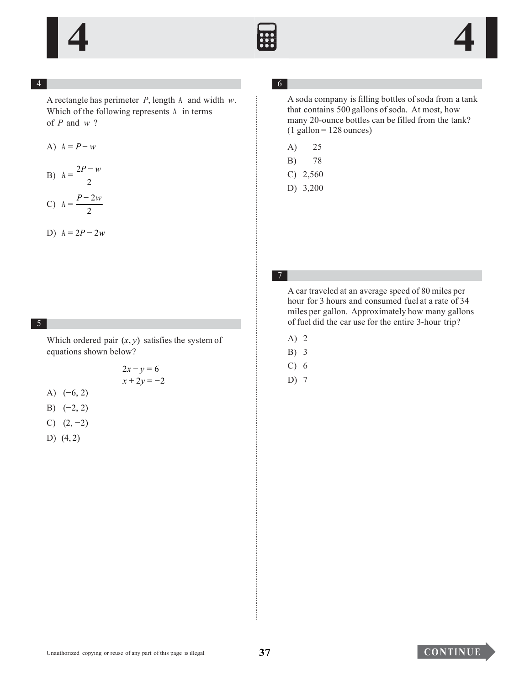

A rectangle has perimeter *P*, length A and width *w*. Which of the following represents A in terms of *P* and *w* ?

A) 
$$
A = P - w
$$

$$
B) A = \frac{2P - w}{2}
$$

C) 
$$
A = \frac{P - 2w}{2}
$$

D) 
$$
A = 2P - 2w
$$

#### 5

Which ordered pair  $(x, y)$  satisfies the system of equations shown below?

$$
2x - y = 6
$$
  

$$
x + 2y = -2
$$

- A) (−6, 2)
- B)  $(-2, 2)$
- C)  $(2, -2)$
- D) (4, 2)

### 6

A soda company is filling bottles of soda from a tank that contains 500 gallons of soda. At most, how many 20-ounce bottles can be filled from the tank?  $(1$  gallon = 128 ounces)

- A) 25
- B) 78
- C) 2,560
- D) 3,200

### 7

A contage has pointed or F, league is and width with the company is that is not a contage for the pointed or solution of the following represents  $\lambda$  in terms<br>  $\lambda \lambda = P - \theta$ <br>  $\lambda \lambda = P - \theta$ <br>  $\lambda \lambda = 1$ <br>  $\lambda \lambda = 1$ <br>  $\lambda \lambda = 1$ <br> A car traveled at an average speed of 80 miles per hour for 3 hours and consumed fuel at a rate of 34 miles per gallon. Approximately how many gallons of fuel did the car use for the entire 3-hour trip?

- A) 2
- B) 3
- C) 6
- D) 7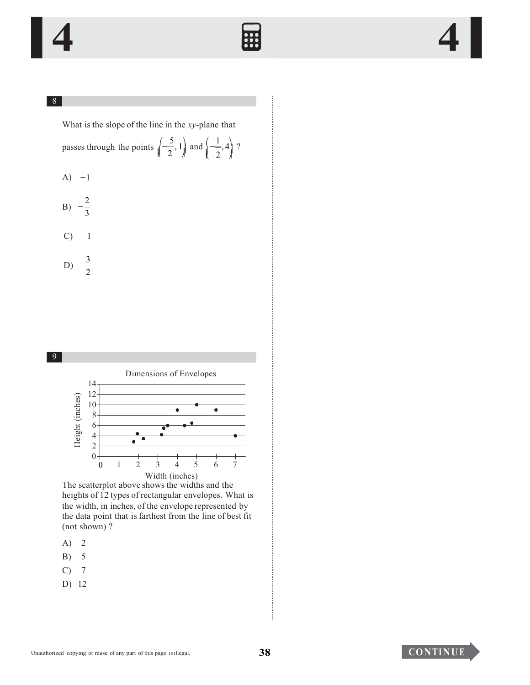

#### $8<sup>7</sup>$

What is the slope of the line in the xy-plane that passes through the points  $\left(-\frac{5}{2}, 1\right)$  and  $\left(-\frac{1}{2}, 4\right)$  ?

 $A) -1$ 

$$
B) -\frac{2}{3}
$$
  

$$
C) \qquad 1
$$

D)  $\frac{3}{2}$ 



The scatterplot above shows the widths and the heights of 12 types of rectangular envelopes. What is the width, in inches, of the envelope represented by the data point that is farthest from the line of best fit (not shown)?

- $\overline{2}$ A)
- $\sqrt{5}$ B)
- $7\phantom{.0}$  $\mathcal{C}$
- $D)$  12